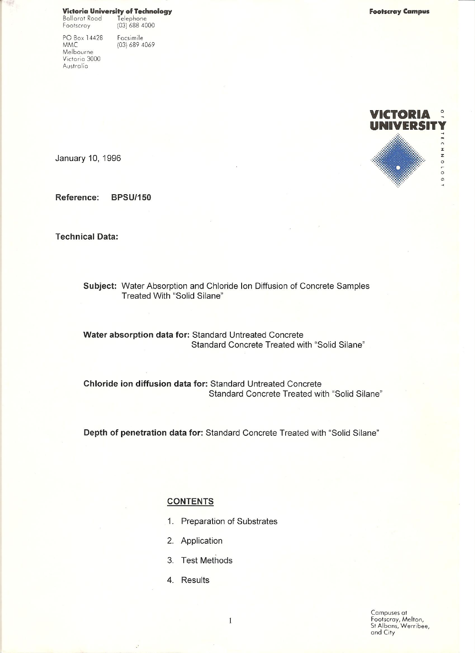Victoria University of Technology Telephone<br>(03) 688 4000 Ballarat Road

 $(03)$  689 4069

Footscray Facsimile

PO Box 14428 **MMC** Melbourne Victoria 3000 Australia



January 10, 1996

Reference: **BPSU/150** 

**Technical Data:** 

Subject: Water Absorption and Chloride Ion Diffusion of Concrete Samples Treated With "Solid Silane"

Water absorption data for: Standard Untreated Concrete Standard Concrete Treated with "Solid Silane"

Chloride ion diffusion data for: Standard Untreated Concrete Standard Concrete Treated with "Solid Silane"

Depth of penetration data for: Standard Concrete Treated with "Solid Silane"

# **CONTENTS**

- 1. Preparation of Substrates
- 2. Application
- 3. Test Methods
- 4. Results

Campuses at<br>Footscray, Melton,<br>St Albans, Werribee, and City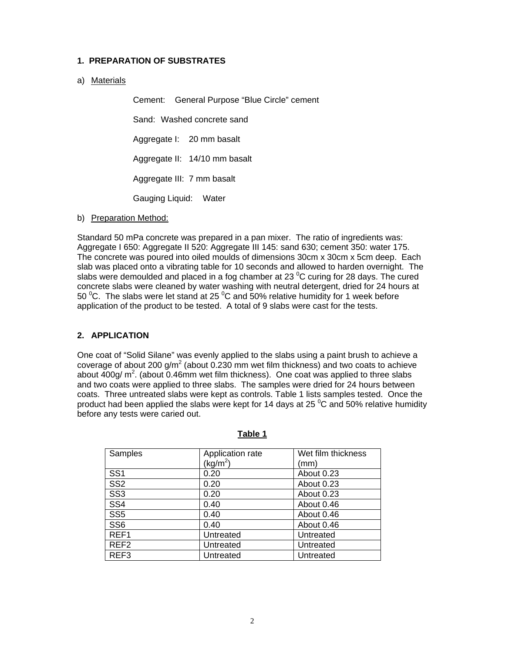# **1. PREPARATION OF SUBSTRATES**

a) Materials

Cement: General Purpose "Blue Circle" cement Sand: Washed concrete sand Aggregate I: 20 mm basalt Aggregate II: 14/10 mm basalt Aggregate III: 7 mm basalt Gauging Liquid: Water

b) Preparation Method:

Standard 50 mPa concrete was prepared in a pan mixer. The ratio of ingredients was: Aggregate I 650: Aggregate II 520: Aggregate III 145: sand 630; cement 350: water 175. The concrete was poured into oiled moulds of dimensions 30cm x 30cm x 5cm deep. Each slab was placed onto a vibrating table for 10 seconds and allowed to harden overnight. The slabs were demoulded and placed in a fog chamber at 23  $^{\circ}$ C curing for 28 days. The cured concrete slabs were cleaned by water washing with neutral detergent, dried for 24 hours at 50  $\mathrm{^0C}$ . The slabs were let stand at 25  $\mathrm{^0C}$  and 50% relative humidity for 1 week before application of the product to be tested. A total of 9 slabs were cast for the tests.

# **2. APPLICATION**

One coat of "Solid Silane" was evenly applied to the slabs using a paint brush to achieve a coverage of about 200 g/m<sup>2</sup> (about 0.230 mm wet film thickness) and two coats to achieve about 400g/  $m^2$ . (about 0.46mm wet film thickness). One coat was applied to three slabs and two coats were applied to three slabs. The samples were dried for 24 hours between coats. Three untreated slabs were kept as controls. Table 1 lists samples tested. Once the product had been applied the slabs were kept for 14 days at 25  $\rm{^0C}$  and 50% relative humidity before any tests were caried out.

| Samples          | Application rate | Wet film thickness |  |  |
|------------------|------------------|--------------------|--|--|
|                  | $(kg/m^2)$       | (mm)               |  |  |
| SS <sub>1</sub>  | 0.20             | About 0.23         |  |  |
| SS <sub>2</sub>  | 0.20             | About 0.23         |  |  |
| SS <sub>3</sub>  | 0.20             | About 0.23         |  |  |
| SS <sub>4</sub>  | 0.40             | About 0.46         |  |  |
| SS <sub>5</sub>  | 0.40             | About 0.46         |  |  |
| SS <sub>6</sub>  | 0.40             | About 0.46         |  |  |
| REF1             | Untreated        | Untreated          |  |  |
| REF <sub>2</sub> | Untreated        | Untreated          |  |  |
| REF <sub>3</sub> | Untreated        | Untreated          |  |  |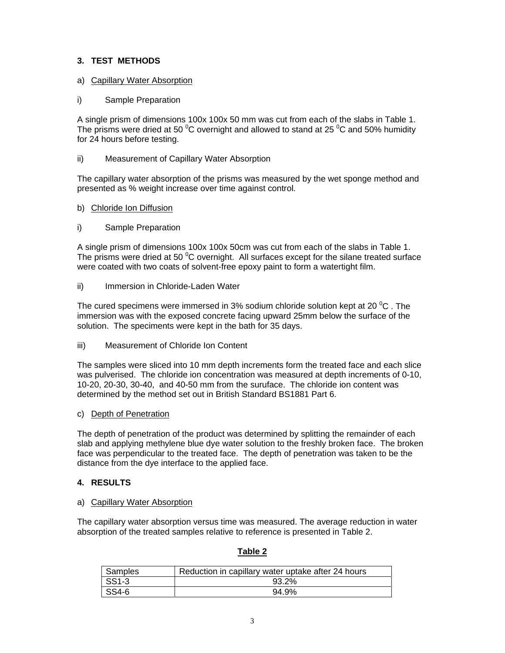# **3. TEST METHODS**

# a) Capillary Water Absorption

# i) Sample Preparation

A single prism of dimensions 100x 100x 50 mm was cut from each of the slabs in Table 1. The prisms were dried at 50  $\mathrm{^0C}$  overnight and allowed to stand at 25  $\mathrm{^0C}$  and 50% humidity for 24 hours before testing.

# ii) Measurement of Capillary Water Absorption

The capillary water absorption of the prisms was measured by the wet sponge method and presented as % weight increase over time against control.

### b) Chloride Ion Diffusion

### i) Sample Preparation

A single prism of dimensions 100x 100x 50cm was cut from each of the slabs in Table 1. The prisms were dried at 50  $\mathrm{^0C}$  overnight. All surfaces except for the silane treated surface were coated with two coats of solvent-free epoxy paint to form a watertight film.

ii) Immersion in Chloride-Laden Water

The cured specimens were immersed in 3% sodium chloride solution kept at 20  $^0$ C . The immersion was with the exposed concrete facing upward 25mm below the surface of the solution. The speciments were kept in the bath for 35 days.

iii) Measurement of Chloride Ion Content

The samples were sliced into 10 mm depth increments form the treated face and each slice was pulverised. The chloride ion concentration was measured at depth increments of 0-10, 10-20, 20-30, 30-40, and 40-50 mm from the suruface. The chloride ion content was determined by the method set out in British Standard BS1881 Part 6.

#### c) Depth of Penetration

The depth of penetration of the product was determined by splitting the remainder of each slab and applying methylene blue dye water solution to the freshly broken face. The broken face was perpendicular to the treated face. The depth of penetration was taken to be the distance from the dye interface to the applied face.

# **4. RESULTS**

### a) Capillary Water Absorption

The capillary water absorption versus time was measured. The average reduction in water absorption of the treated samples relative to reference is presented in Table 2.

| Samples   | Reduction in capillary water uptake after 24 hours |  |  |
|-----------|----------------------------------------------------|--|--|
| SS1-3     | 93.2%                                              |  |  |
| $ $ SS4-6 | 94.9%                                              |  |  |

# **Table 2**